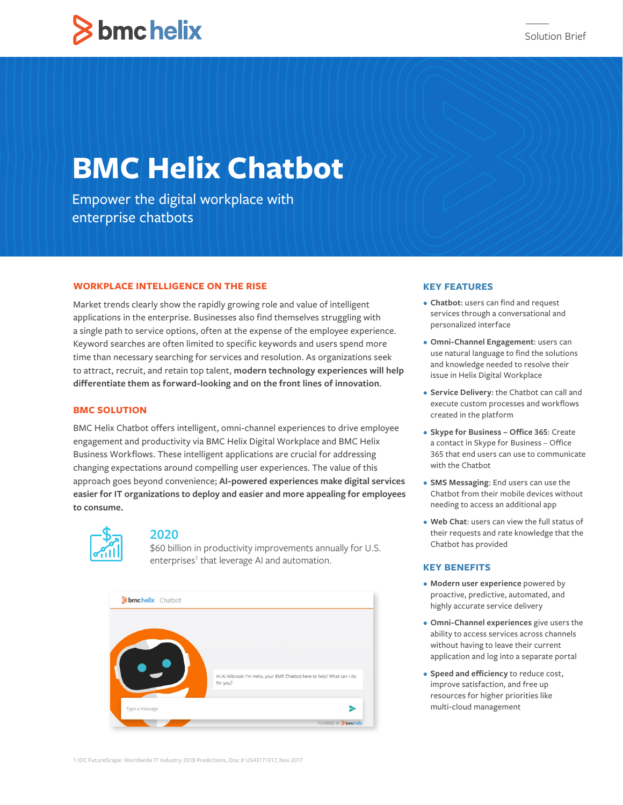# **Shmchelix**

# **BMC Helix Chatbot**

Empower the digital workplace with enterprise chatbots

# **WORKPLACE INTELLIGENCE ON THE RISE**

Market trends clearly show the rapidly growing role and value of intelligent applications in the enterprise. Businesses also find themselves struggling with a single path to service options, often at the expense of the employee experience. Keyword searches are often limited to specific keywords and users spend more time than necessary searching for services and resolution. As organizations seek to attract, recruit, and retain top talent, **modern technology experiences will help differentiate them as forward-looking and on the front lines of innovation**.

# **BMC SOLUTION**

BMC Helix Chatbot offers intelligent, omni-channel experiences to drive employee engagement and productivity via BMC Helix Digital Workplace and BMC Helix Business Workflows. These intelligent applications are crucial for addressing changing expectations around compelling user experiences. The value of this approach goes beyond convenience; **AI-powered experiences make digital services easier for IT organizations to deploy and easier and more appealing for employees to consume.**



# **2020**

\$60 billion in productivity improvements annually for U.S. enterprises<sup>1</sup> that leverage AI and automation.



# **KEY FEATURES**

- **• Chatbot**: users can find and request services through a conversational and personalized interface
- **• Omni-Channel Engagement**: users can use natural language to find the solutions and knowledge needed to resolve their issue in Helix Digital Workplace
- **• Service Delivery**: the Chatbot can call and execute custom processes and workflows created in the platform
- **• Skype for Business Office 365**: Create a contact in Skype for Business – Office 365 that end users can use to communicate with the Chatbot
- **• SMS Messaging**: End users can use the Chatbot from their mobile devices without needing to access an additional app
- **• Web Chat**: users can view the full status of their requests and rate knowledge that the Chatbot has provided

### **KEY BENEFITS**

- **• Modern user experience** powered by proactive, predictive, automated, and highly accurate service delivery
- **• Omni-Channel experiences** give users the ability to access services across channels without having to leave their current application and log into a separate portal
- **• Speed and efficiency** to reduce cost, improve satisfaction, and free up resources for higher priorities like multi-cloud management